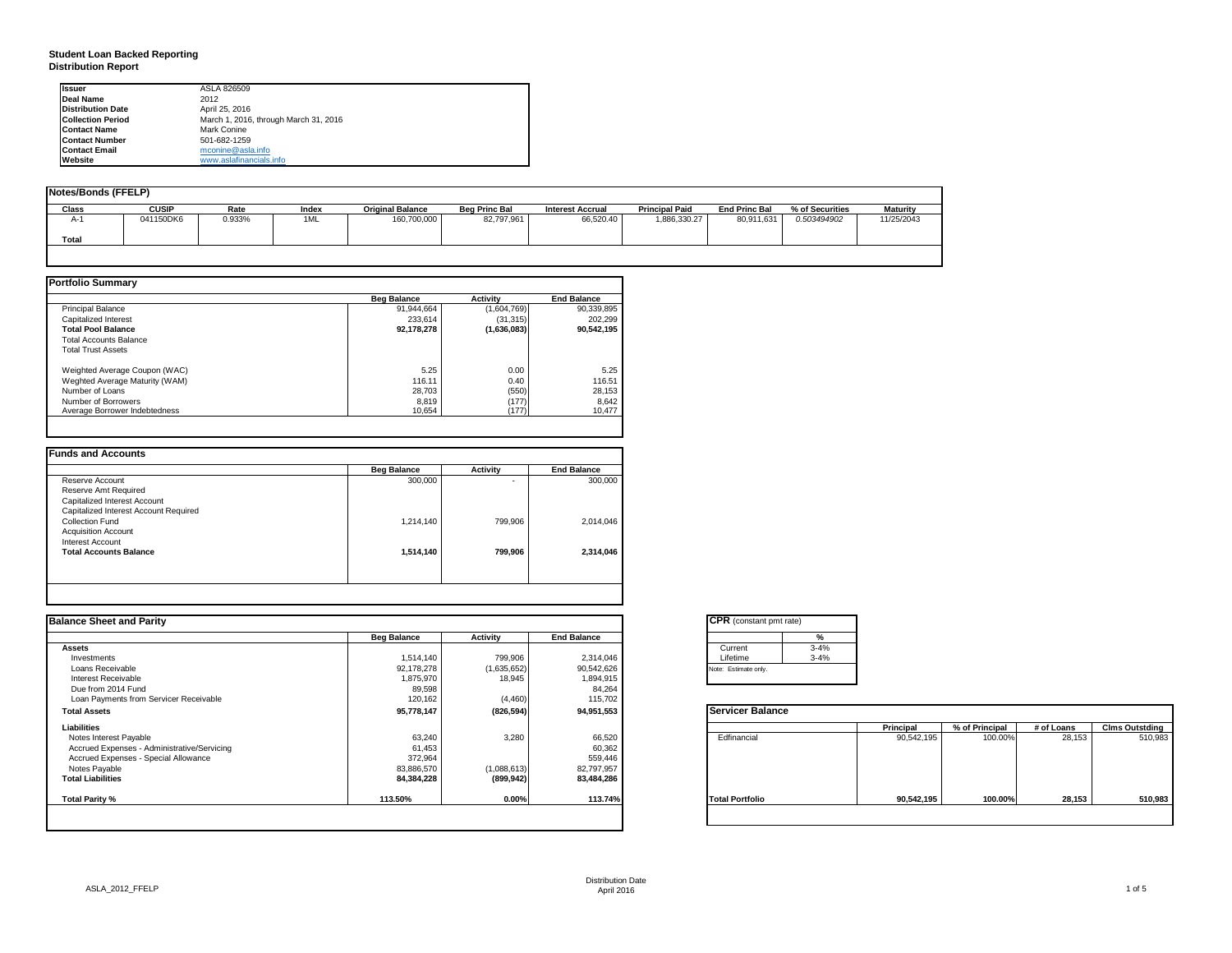## **Student Loan Backed Reporting Distribution Report**

| <b>Issuer</b>            | ASLA 826509                           |  |
|--------------------------|---------------------------------------|--|
| <b>Deal Name</b>         | 2012                                  |  |
| <b>Distribution Date</b> | April 25, 2016                        |  |
| <b>Collection Period</b> | March 1, 2016, through March 31, 2016 |  |
| <b>Contact Name</b>      | Mark Conine                           |  |
| <b>Contact Number</b>    | 501-682-1259                          |  |
| <b>Contact Email</b>     | mconine@asla.info                     |  |
| Website                  | www.aslafinancials.info               |  |

| Notes/Bonds (FFELP) |              |        |       |                         |                      |                         |                       |                      |                 |                 |
|---------------------|--------------|--------|-------|-------------------------|----------------------|-------------------------|-----------------------|----------------------|-----------------|-----------------|
| <b>Class</b>        | <b>CUSIP</b> | Rate   | Index | <b>Original Balance</b> | <b>Beg Princ Bal</b> | <b>Interest Accrual</b> | <b>Principal Paid</b> | <b>End Princ Bal</b> | % of Securities | <b>Maturity</b> |
| $A-$                | 041150DK6    | 0.933% | 1ML   | 160,700,000             | 82,797,961           | 66,520.40               | 1,886,330.27          | 80,911,631           | 0.503494902     | 11/25/2043      |
| Total               |              |        |       |                         |                      |                         |                       |                      |                 |                 |
|                     |              |        |       |                         |                      |                         |                       |                      |                 |                 |

|                                | <b>Beg Balance</b> | <b>Activity</b> | <b>End Balance</b> |
|--------------------------------|--------------------|-----------------|--------------------|
| <b>Principal Balance</b>       | 91.944.664         | (1,604,769)     | 90,339,895         |
| Capitalized Interest           | 233.614            | (31, 315)       | 202.299            |
| <b>Total Pool Balance</b>      | 92,178,278         | (1,636,083)     | 90.542.195         |
| <b>Total Accounts Balance</b>  |                    |                 |                    |
| <b>Total Trust Assets</b>      |                    |                 |                    |
| Weighted Average Coupon (WAC)  | 5.25               | 0.00            | 5.25               |
| Weghted Average Maturity (WAM) | 116.11             | 0.40            | 116.51             |
| Number of Loans                | 28,703             | (550)           | 28,153             |
| Number of Borrowers            | 8.819              | (177)           | 8,642              |
| Average Borrower Indebtedness  | 10,654             | (177)           | 10,477             |

|                                       | <b>Beg Balance</b> | <b>Activity</b> | <b>End Balance</b> |
|---------------------------------------|--------------------|-----------------|--------------------|
| Reserve Account                       | 300,000            | ۰               | 300,000            |
| Reserve Amt Required                  |                    |                 |                    |
| Capitalized Interest Account          |                    |                 |                    |
| Capitalized Interest Account Required |                    |                 |                    |
| Collection Fund                       | 1,214,140          | 799.906         | 2,014,046          |
| <b>Acquisition Account</b>            |                    |                 |                    |
| Interest Account                      |                    |                 |                    |
| <b>Total Accounts Balance</b>         | 1,514,140          | 799,906         | 2,314,046          |
|                                       |                    |                 |                    |
|                                       |                    |                 |                    |

|                    |             |                    | <b>CPR</b> (constant pmt rate) |            |                |            |                       |
|--------------------|-------------|--------------------|--------------------------------|------------|----------------|------------|-----------------------|
| <b>Beg Balance</b> | Activity    | <b>End Balance</b> |                                |            |                |            |                       |
|                    |             |                    | $3 - 4%$<br>Current            |            |                |            |                       |
| 1,514,140          | 799,906     | 2,314,046          | $3 - 4%$<br>Lifetime           |            |                |            |                       |
| 92,178,278         | (1,635,652) | 90,542,626         | Note: Estimate only.           |            |                |            |                       |
|                    | 18,945      |                    |                                |            |                |            |                       |
| 89,598             |             | 84,264             |                                |            |                |            |                       |
| 120,162            | (4, 460)    | 115,702            |                                |            |                |            |                       |
| 95,778,147         | (826, 594)  | 94,951,553         | <b>Servicer Balance</b>        |            |                |            |                       |
|                    |             |                    |                                | Principal  | % of Principal | # of Loans | <b>Clms Outstding</b> |
| 63,240             | 3,280       | 66,520             | Edfinancial                    | 90,542,195 | 100.00%        | 28,153     | 510,983               |
| 61,453             |             | 60,362             |                                |            |                |            |                       |
| 372,964            |             | 559,446            |                                |            |                |            |                       |
| 83,886,570         | (1,088,613) | 82,797,957         |                                |            |                |            |                       |
| 84,384,228         | (899, 942)  | 83,484,286         |                                |            |                |            |                       |
| 113.50%            | 0.00%       | 113.74%            | <b>Total Portfolio</b>         | 90,542,195 | 100.00%        | 28,153     | 510,983               |
|                    | 1,875,970   |                    | 1,894,915                      |            |                |            |                       |

|          | %        |
|----------|----------|
| Current  | $3 - 4%$ |
| Lifetime | $3 - 4%$ |

|                        | Principal  | % of Principal | # of Loans | <b>Clms Outstding</b> |
|------------------------|------------|----------------|------------|-----------------------|
| Edfinancial            | 90,542,195 | 100.00%        | 28,153     | 510,983               |
| <b>Total Portfolio</b> | 90,542,195 | 100.00%        | 28,153     | 510,983               |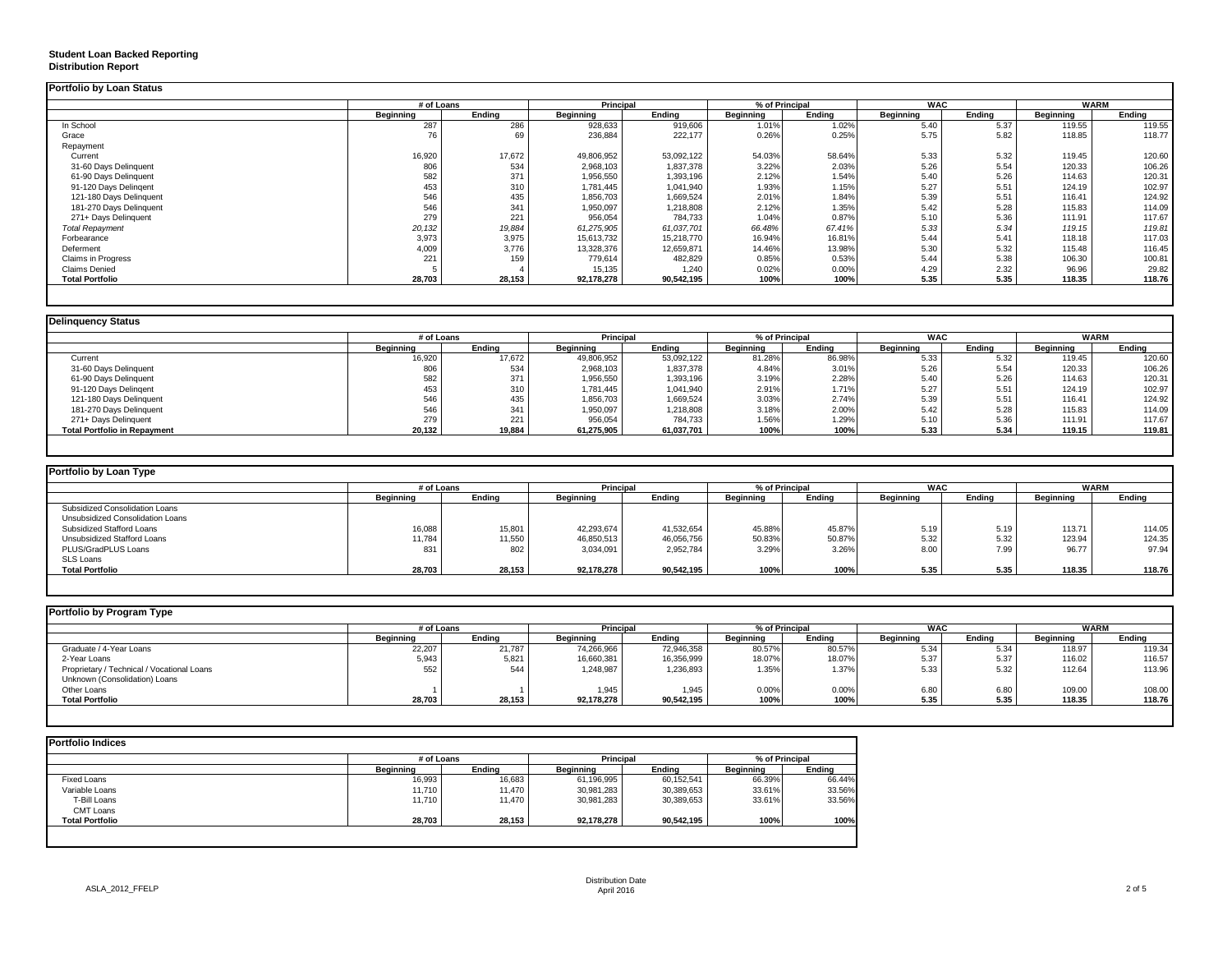# **Student Loan Backed Reporting Distribution Report**

|                         | # of Loans |        | Principal  |            | % of Principal   |        | <b>WAC</b>       |        | WARM      |                    |
|-------------------------|------------|--------|------------|------------|------------------|--------|------------------|--------|-----------|--------------------|
|                         | Beainnina  | Endina | Beainnina  | Endina     | <b>Beginning</b> | Endina | <b>Beginning</b> | Endina | Beainnina | Endina             |
| In School               | 287        | 286    | 928,633    | 919,606    | 1.01%            | 1.02%  | 5.40             | 5.37   | 119.55    | 119.55             |
| Grace                   | 76         | 69     | 236,884    | 222,177    | 0.26%            | 0.25%  | 5.75             | 5.82   | 118.85    | 118.77             |
| Repayment               |            |        |            |            |                  |        |                  |        |           |                    |
| Current                 | 16,920     | 17,672 | 49,806,952 | 53,092,122 | 54.03%           | 58.64% | 5.33             | 5.32   | 119.45    | 120.60             |
| 31-60 Days Delinquent   | 806        | 534    | 2,968,103  | 1,837,378  | 3.22%            | 2.03%  | 5.26             | 5.54   | 120.33    | 106.26             |
| 61-90 Days Delinquent   | 582        | 371    | 1,956,550  | 1,393,196  | 2.12%            | 1.54%  | 5.40             | 5.26   | 114.63    | 120.31             |
| 91-120 Days Delingent   | 453        | 310    | 1,781,445  | 1,041,940  | 1.93%            | 1.15%  | 5.27             | 5.51   | 124.19    | 102.97             |
| 121-180 Days Delinquent | 546        | 435    | 1,856,703  | 1,669,524  | 2.01%            | 1.84%  | 5.39             | 5.51   | 116.41    | 124.92             |
| 181-270 Days Delinquent | 546        | 341    | 1,950,097  | 1,218,808  | 2.12%            | 1.35%  | 5.42             | 5.28   | 115.83    | 114.09             |
| 271+ Days Delinquent    | 279        | 221    | 956,054    | 784,733    | 1.04%            | 0.87%  | 5.10             | 5.36   | 111.91    | 117.67             |
| <b>Total Repayment</b>  | 20,132     | 19,884 | 61,275,905 | 61,037,701 | 66.48%           | 67.41% | 5.33             | 5.34   | 119.15    | 119.81             |
| Forbearance             | 3,973      | 3,975  | 15,613,732 | 15,218,770 | 16.94%           | 16.81% | 5.44             | 5.41   | 118.18    | 117.03             |
| Deferment               | 4,009      | 3,776  | 13,328,376 | 12,659,871 | 14.46%           | 13.98% | 5.30             | 5.32   | 115.48    | 116.45             |
| Claims in Progress      | 221        | 159    | 779,614    | 482,829    | 0.85%            | 0.53%  | 5.44             | 5.38   | 106.30    | 100.8 <sup>°</sup> |
| <b>Claims Denied</b>    |            |        | 15,135     | 1.240      | 0.02%            | 0.00%  | 4.29             | 2.32   | 96.96     | 29.82              |
| <b>Total Portfolio</b>  | 28,703     | 28,153 | 92,178,278 | 90,542,195 | 100%             | 100%   | 5.35             | 5.35   | 118.35    | 118.76             |

| <b>Delinguency Status</b>           |                  |        |                  |            |                  |                |                  |        |           |             |
|-------------------------------------|------------------|--------|------------------|------------|------------------|----------------|------------------|--------|-----------|-------------|
|                                     | # of Loans       |        | <b>Principal</b> |            |                  | % of Principal | <b>WAC</b>       |        |           | <b>WARM</b> |
|                                     | <b>Beainning</b> | Endina | <b>Beginning</b> | Endina     | <b>Beainning</b> | Endina         | <b>Beainning</b> | Endina | Beainnina | Endina      |
| Current                             | 16,920           | 17,672 | 49,806,952       | 53,092,122 | 81.28%           | 86.98%         | 5.33             | 5.32   | 119.45    | 120.60      |
| 31-60 Days Delinquent               | 806              | 534    | 2,968,103        | 1,837,378  | 4.84%            | 3.01%          | 5.26             | 5.54   | 120.33    | 106.26      |
| 61-90 Days Delinquent               | 582              | 371    | 1,956,550        | 1,393,196  | 3.19%            | 2.28%          | 5.40             | 5.26   | 114.63    | 120.31      |
| 91-120 Days Delingent               | 453              | 310    | 1,781,445        | 1,041,940  | 2.91%            | 1.71%          | 5.27             | 5.51   | 124.19    | 102.97      |
| 121-180 Days Delinquent             | 546              | 435    | 1,856,703        | 1,669,524  | 3.03%            | 2.74%          | 5.39             | 5.51   | 116.41    | 124.92      |
| 181-270 Days Delinquent             | 546              | 341    | 1,950,097        | 1,218,808  | 3.18%            | 2.00%          | 5.42             | 5.28   | 115.83    | 114.09      |
| 271+ Days Delinquent                | 279              | 221    | 956,054          | 784,733    | 1.56%            | 1.29%          | 5.10             | 5.36   | 111.91    | 117.67      |
| <b>Total Portfolio in Repayment</b> | 20,132           | 19,884 | 61,275,905       | 61,037,701 | 100%             | 100%           | 5.33             | 5.34   | 119.15    | 119.81      |

|                  |        |            |            |                  |        |                  |        |            | WARM   |
|------------------|--------|------------|------------|------------------|--------|------------------|--------|------------|--------|
| <b>Beginning</b> | Ending | Beginning  | Ending     | <b>Beginning</b> | Ending | <b>Beainning</b> | Ending | Beginning  | Ending |
|                  |        |            |            |                  |        |                  |        |            |        |
|                  |        |            |            |                  |        |                  |        |            |        |
| 16,088           | 15,801 | 42,293,674 | 41,532,654 | 45.88%           | 45.87% | 5.19             | 5.19   | 113.71     | 114.05 |
| 11,784           | 11,550 | 46,850,513 | 46,056,756 | 50.83%           | 50.87% | 5.32             | 5.32   | 123.94     | 124.35 |
| 831              | 802    | 3,034,091  | 2,952,784  | 3.29%            | 3.26%  | 8.00             | 7.99   | 96.77      | 97.94  |
|                  |        |            |            |                  |        |                  |        |            |        |
| 28,703           | 28,153 | 92,178,278 | 90.542.195 | 100%             | 100%   | 5.35             | 5.35   | 118.35     | 118.76 |
|                  |        | # of Loans |            | Principal        |        | % of Principal   |        | <b>WAC</b> |        |

| <b>Beginning</b> | Endina | <b>Beginning</b> | Endina     | <b>Beginning</b> | Endina | <b>Beainning</b>         | Endina | <b>Beainning</b> | Endina      |
|------------------|--------|------------------|------------|------------------|--------|--------------------------|--------|------------------|-------------|
| 22,207           | 21,787 | 74,266,966       | 72,946,358 | 80.57%           | 80.57% | 5.34                     | 5.34   | 118.97           | 119.34      |
| 5,943            | 5,821  | 16,660,381       | 16,356,999 |                  | 18.07% | 5.37                     | 5.37   | 116.02           | 116.57      |
| 552              | 544    | 1.248.987        | 1,236,893  | 1.35%            | 1.37%  | 5.33                     | 5.32   | 112.64           | 113.96      |
|                  |        |                  |            |                  |        |                          |        |                  |             |
|                  |        | 1.945            | 1.945      | 0.00%            | 0.00%  | 6.80                     | 6.80   | 109.00           | 108.00      |
| 28,703           | 28,153 | 92,178,278       | 90,542,195 | 100%             | 100%   | 5.35                     | 5.35   | 118.35           | 118.76      |
|                  |        | # of Loans       |            | <b>Principal</b> |        | % of Principal<br>18.07% |        | <b>WAC</b>       | <b>WARM</b> |

|                        | # of Loans |        | Principal        |            | % of Principal |        |
|------------------------|------------|--------|------------------|------------|----------------|--------|
|                        | Beainnina  | Endina | <b>Beginning</b> | Endina     | Beginning      | Endina |
| Fixed Loans            | 16,993     | 16,683 | 61,196,995       | 60,152,541 | 66.39%         | 66.44% |
| Variable Loans         | 11,710     | 11,470 | 30,981,283       | 30,389,653 | 33.61%         | 33.56% |
| T-Bill Loans           | 11,710     | 11.470 | 30.981.283       | 30,389,653 | 33.61%         | 33.56% |
| CMT Loans              |            |        |                  |            |                |        |
| <b>Total Portfolio</b> | 28,703     | 28,153 | 92,178,278       | 90,542,195 | 100%           | 100%   |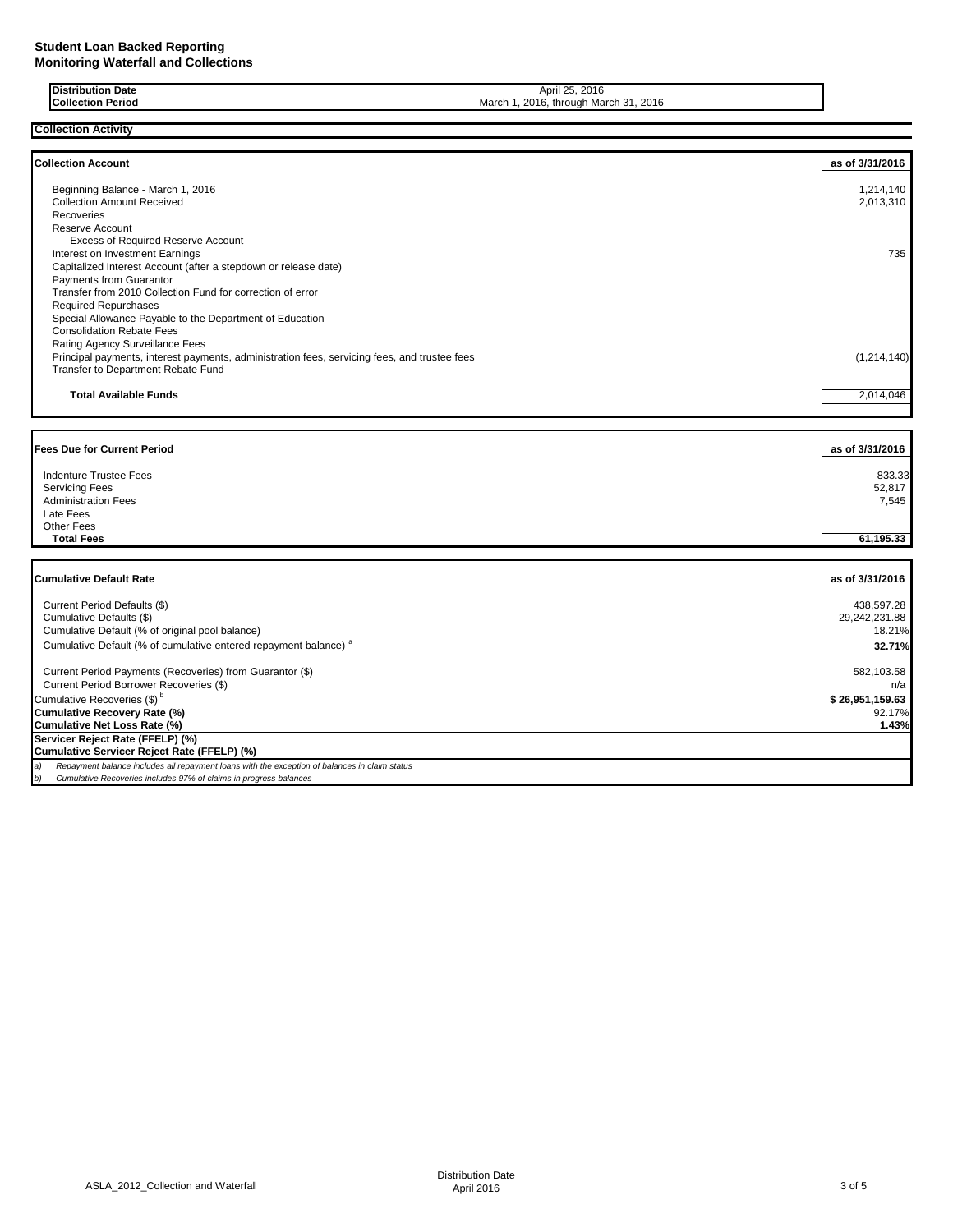| Date<br>ribution                             | 2016<br>April 25                                             |
|----------------------------------------------|--------------------------------------------------------------|
| March<br>Periog<br>`ollection<br>,,,,,,,,,,, | 2016<br>$\sim$<br>2016,<br>March<br>thro<br>.101r<br>$\cdot$ |

### **Collection Activity**

| <b>Collection Account</b>                                                                    | as of 3/31/2016 |
|----------------------------------------------------------------------------------------------|-----------------|
| Beginning Balance - March 1, 2016                                                            | 1,214,140       |
| <b>Collection Amount Received</b>                                                            | 2,013,310       |
| Recoveries                                                                                   |                 |
| <b>Reserve Account</b>                                                                       |                 |
| <b>Excess of Required Reserve Account</b>                                                    |                 |
| Interest on Investment Earnings                                                              | 735             |
| Capitalized Interest Account (after a stepdown or release date)                              |                 |
| <b>Payments from Guarantor</b>                                                               |                 |
| Transfer from 2010 Collection Fund for correction of error                                   |                 |
| <b>Required Repurchases</b>                                                                  |                 |
| Special Allowance Payable to the Department of Education                                     |                 |
| <b>Consolidation Rebate Fees</b>                                                             |                 |
| Rating Agency Surveillance Fees                                                              |                 |
| Principal payments, interest payments, administration fees, servicing fees, and trustee fees | (1, 214, 140)   |
| Transfer to Department Rebate Fund                                                           |                 |
| <b>Total Available Funds</b>                                                                 | 2,014,046       |
| <b>Fees Due for Current Period</b>                                                           | as of 3/31/2016 |
| <b>Indenture Trustee Fees</b>                                                                | 833.33          |
| <b>Servicing Fees</b>                                                                        | 52,817          |
| <b>Administration Fees</b>                                                                   | 7,545           |
| Late Fees                                                                                    |                 |
| <b>Other Fees</b>                                                                            |                 |
| <b>Total Fees</b>                                                                            | 61,195.33       |
|                                                                                              |                 |
| <b>Cumulative Default Rate</b>                                                               | as of 3/31/2016 |

| Current Period Defaults (\$)<br>Cumulative Defaults (\$)<br>Cumulative Default (% of original pool balance) | 438.597.28<br>29.242.231.88<br>18.21% |
|-------------------------------------------------------------------------------------------------------------|---------------------------------------|
| Cumulative Default (% of cumulative entered repayment balance) <sup>a</sup>                                 | 32.71%                                |
| Current Period Payments (Recoveries) from Guarantor (\$)                                                    | 582,103.58                            |
| Current Period Borrower Recoveries (\$)                                                                     | n/a                                   |
| Cumulative Recoveries (\$) <sup>b</sup>                                                                     | \$26,951,159.63                       |
| <b>Cumulative Recovery Rate (%)</b>                                                                         | 92.17%                                |
| Cumulative Net Loss Rate (%)                                                                                | 1.43%                                 |
| Servicer Reject Rate (FFELP) (%)                                                                            |                                       |
| Cumulative Servicer Reject Rate (FFELP) (%)                                                                 |                                       |
| Repayment balance includes all repayment loans with the exception of balances in claim status               |                                       |
| Cumulative Recoveries includes 97% of claims in progress balances                                           |                                       |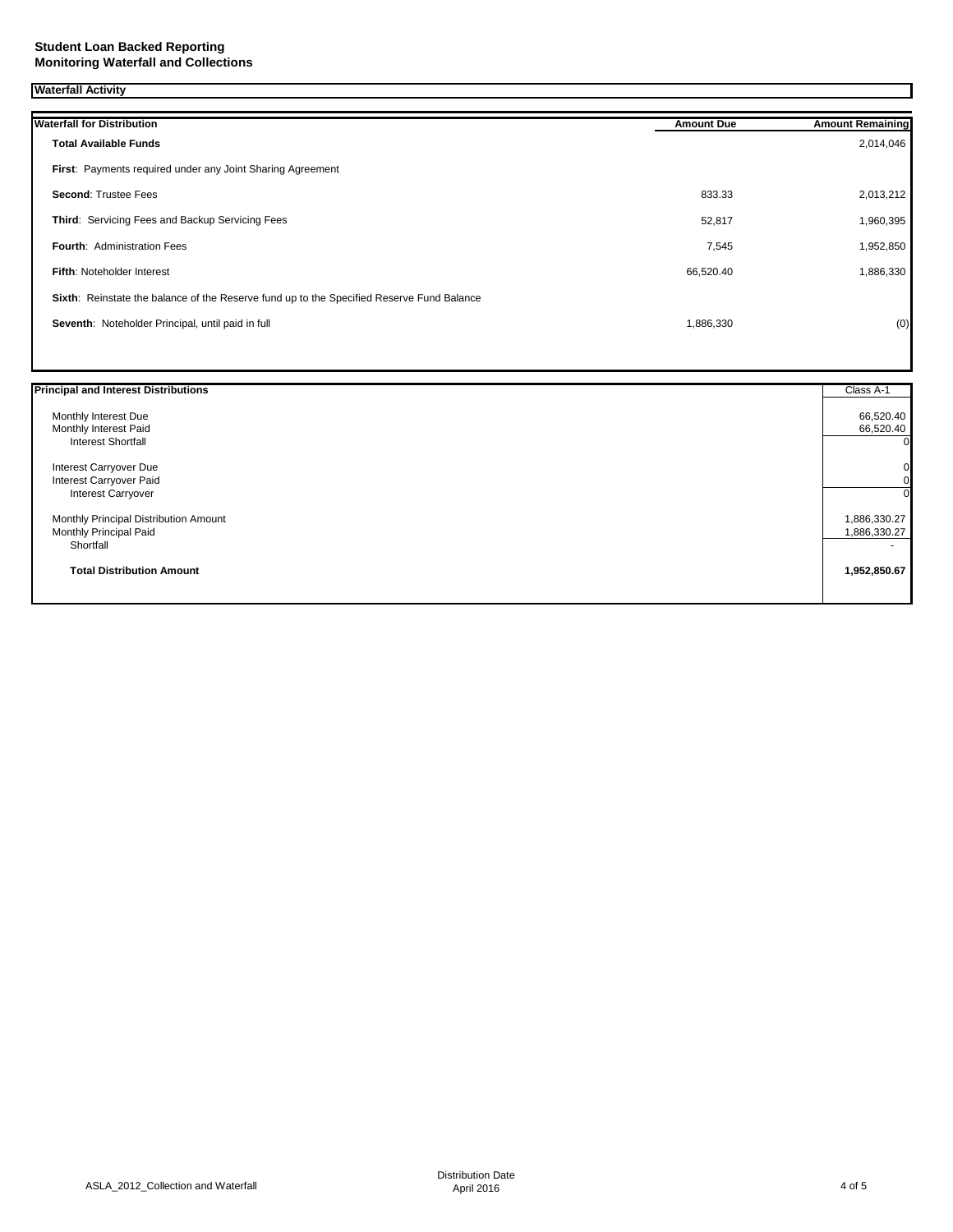### **Waterfall Activity**

| <b>Waterfall for Distribution</b>                                                         | <b>Amount Due</b> | <b>Amount Remaining</b> |
|-------------------------------------------------------------------------------------------|-------------------|-------------------------|
| <b>Total Available Funds</b>                                                              |                   | 2,014,046               |
| First: Payments required under any Joint Sharing Agreement                                |                   |                         |
| <b>Second: Trustee Fees</b>                                                               | 833.33            | 2,013,212               |
| Third: Servicing Fees and Backup Servicing Fees                                           | 52,817            | 1,960,395               |
| <b>Fourth: Administration Fees</b>                                                        | 7,545             | 1,952,850               |
| Fifth: Noteholder Interest                                                                | 66,520.40         | 1,886,330               |
| Sixth: Reinstate the balance of the Reserve fund up to the Specified Reserve Fund Balance |                   |                         |
| Seventh: Noteholder Principal, until paid in full                                         | 1,886,330         | (0)                     |
|                                                                                           |                   |                         |

| <b>Principal and Interest Distributions</b> | Class A-1    |
|---------------------------------------------|--------------|
| Monthly Interest Due                        | 66,520.40    |
| Monthly Interest Paid                       | 66,520.40    |
| <b>Interest Shortfall</b>                   | 0            |
| Interest Carryover Due                      | 0            |
| Interest Carryover Paid                     | 0            |
| <b>Interest Carryover</b>                   | U            |
| Monthly Principal Distribution Amount       | 1,886,330.27 |
| Monthly Principal Paid                      | 1,886,330.27 |
| Shortfall                                   | ۰.           |
| <b>Total Distribution Amount</b>            | 1,952,850.67 |
|                                             |              |